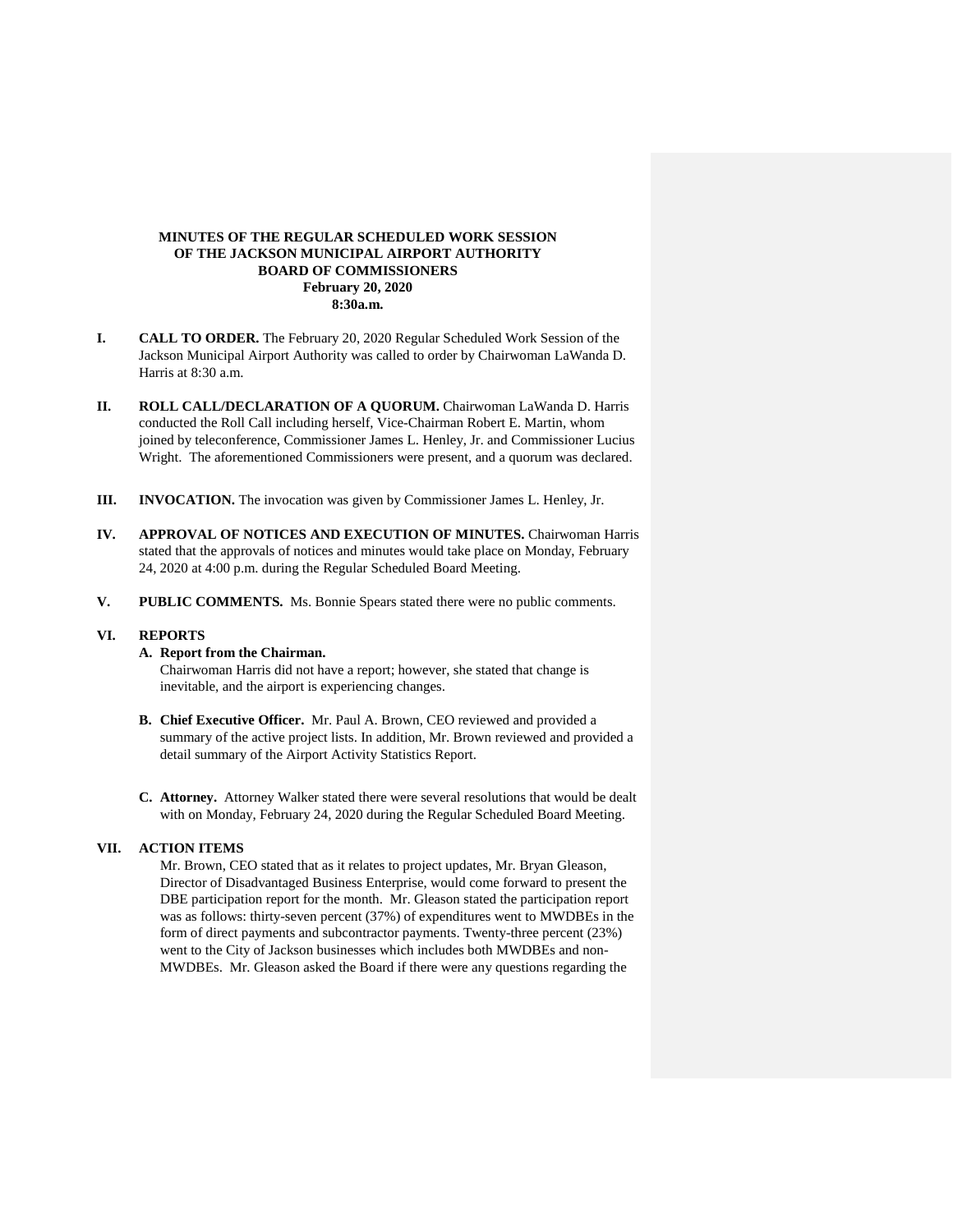# **MINUTES OF THE REGULAR SCHEDULED WORK SESSION OF THE JACKSON MUNICIPAL AIRPORT AUTHORITY BOARD OF COMMISSIONERS February 20, 2020 8:30a.m.**

- **I. CALL TO ORDER.** The February 20, 2020 Regular Scheduled Work Session of the Jackson Municipal Airport Authority was called to order by Chairwoman LaWanda D. Harris at 8:30 a.m.
- **II. ROLL CALL/DECLARATION OF A QUORUM.** Chairwoman LaWanda D. Harris conducted the Roll Call including herself, Vice-Chairman Robert E. Martin, whom joined by teleconference, Commissioner James L. Henley, Jr. and Commissioner Lucius Wright. The aforementioned Commissioners were present, and a quorum was declared.
- **III. INVOCATION.** The invocation was given by Commissioner James L. Henley, Jr.
- **IV. APPROVAL OF NOTICES AND EXECUTION OF MINUTES.** Chairwoman Harris stated that the approvals of notices and minutes would take place on Monday, February 24, 2020 at 4:00 p.m. during the Regular Scheduled Board Meeting.
- **V. PUBLIC COMMENTS.** Ms. Bonnie Spears stated there were no public comments.

#### **VI. REPORTS**

## **A. Report from the Chairman.**

Chairwoman Harris did not have a report; however, she stated that change is inevitable, and the airport is experiencing changes.

- **B. Chief Executive Officer.** Mr. Paul A. Brown, CEO reviewed and provided a summary of the active project lists. In addition, Mr. Brown reviewed and provided a detail summary of the Airport Activity Statistics Report.
- **C. Attorney.** Attorney Walker stated there were several resolutions that would be dealt with on Monday, February 24, 2020 during the Regular Scheduled Board Meeting.

# **VII. ACTION ITEMS**

Mr. Brown, CEO stated that as it relates to project updates, Mr. Bryan Gleason, Director of Disadvantaged Business Enterprise, would come forward to present the DBE participation report for the month. Mr. Gleason stated the participation report was as follows: thirty-seven percent (37%) of expenditures went to MWDBEs in the form of direct payments and subcontractor payments. Twenty-three percent (23%) went to the City of Jackson businesses which includes both MWDBEs and non-MWDBEs. Mr. Gleason asked the Board if there were any questions regarding the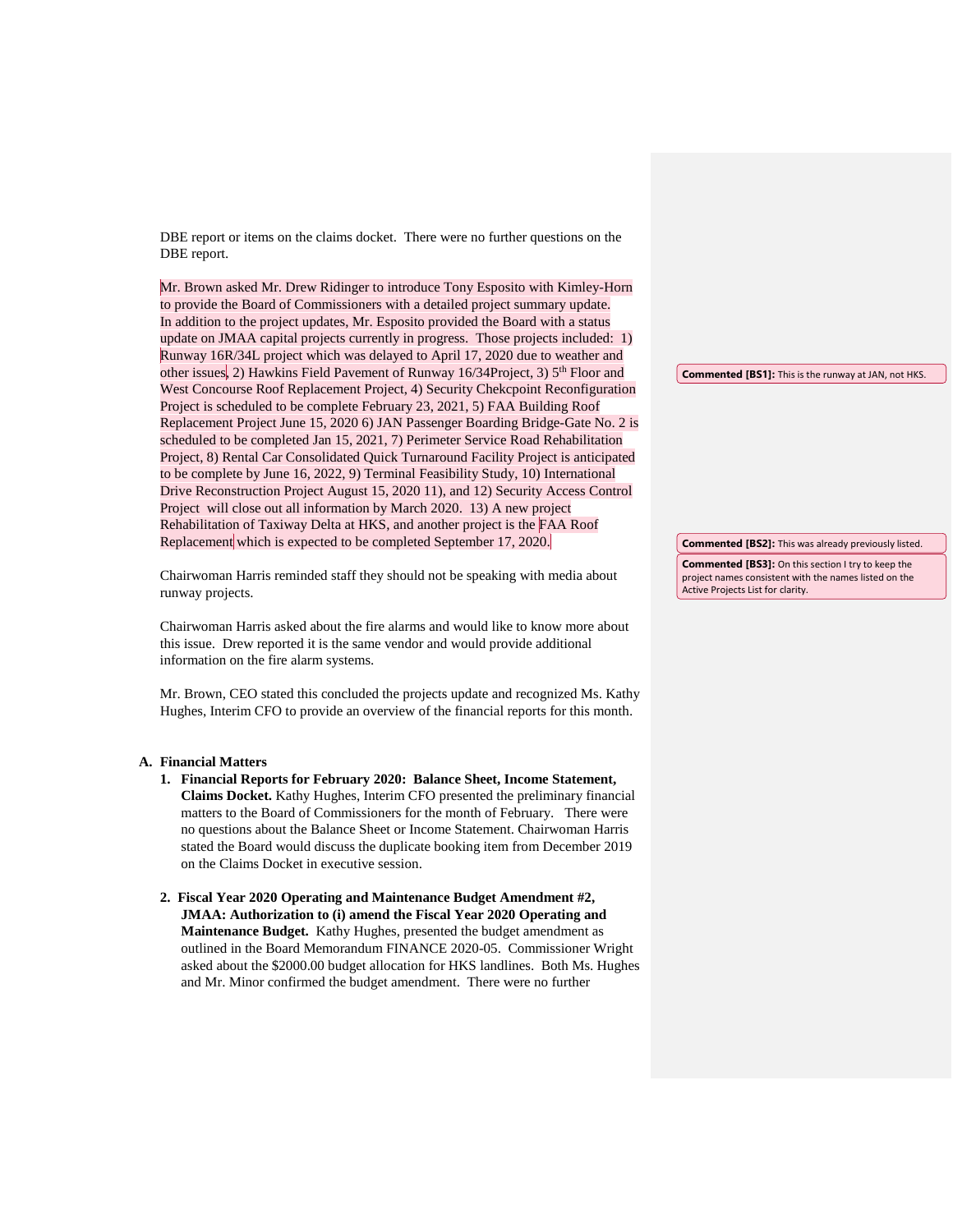DBE report or items on the claims docket. There were no further questions on the DBE report.

Mr. Brown asked Mr. Drew Ridinger to introduce Tony Esposito with Kimley-Horn to provide the Board of Commissioners with a detailed project summary update. In addition to the project updates, Mr. Esposito provided the Board with a status update on JMAA capital projects currently in progress. Those projects included: 1) Runway 16R/34L project which was delayed to April 17, 2020 due to weather and other issues, 2) Hawkins Field Pavement of Runway 16/34Project, 3) 5<sup>th</sup> Floor and West Concourse Roof Replacement Project, 4) Security Chekcpoint Reconfiguration Project is scheduled to be complete February 23, 2021, 5) FAA Building Roof Replacement Project June 15, 2020 6) JAN Passenger Boarding Bridge-Gate No. 2 is scheduled to be completed Jan 15, 2021, 7) Perimeter Service Road Rehabilitation Project, 8) Rental Car Consolidated Quick Turnaround Facility Project is anticipated to be complete by June 16, 2022, 9) Terminal Feasibility Study, 10) International Drive Reconstruction Project August 15, 2020 11), and 12) Security Access Control Project will close out all information by March 2020. 13) A new project Rehabilitation of Taxiway Delta at HKS, and another project is the FAA Roof Replacement which is expected to be completed September 17, 2020.

Chairwoman Harris reminded staff they should not be speaking with media about runway projects.

Chairwoman Harris asked about the fire alarms and would like to know more about this issue. Drew reported it is the same vendor and would provide additional information on the fire alarm systems.

Mr. Brown, CEO stated this concluded the projects update and recognized Ms. Kathy Hughes, Interim CFO to provide an overview of the financial reports for this month.

#### **A. Financial Matters**

- **1. Financial Reports for February 2020: Balance Sheet, Income Statement, Claims Docket.** Kathy Hughes, Interim CFO presented the preliminary financial matters to the Board of Commissioners for the month of February. There were no questions about the Balance Sheet or Income Statement. Chairwoman Harris stated the Board would discuss the duplicate booking item from December 2019 on the Claims Docket in executive session.
- **2. Fiscal Year 2020 Operating and Maintenance Budget Amendment #2, JMAA: Authorization to (i) amend the Fiscal Year 2020 Operating and Maintenance Budget.** Kathy Hughes, presented the budget amendment as outlined in the Board Memorandum FINANCE 2020-05. Commissioner Wright asked about the \$2000.00 budget allocation for HKS landlines. Both Ms. Hughes and Mr. Minor confirmed the budget amendment. There were no further

**Commented [BS1]:** This is the runway at JAN, not HKS.

**Commented [BS2]:** This was already previously listed.

**Commented [BS3]:** On this section I try to keep the project names consistent with the names listed on the Active Projects List for clarity.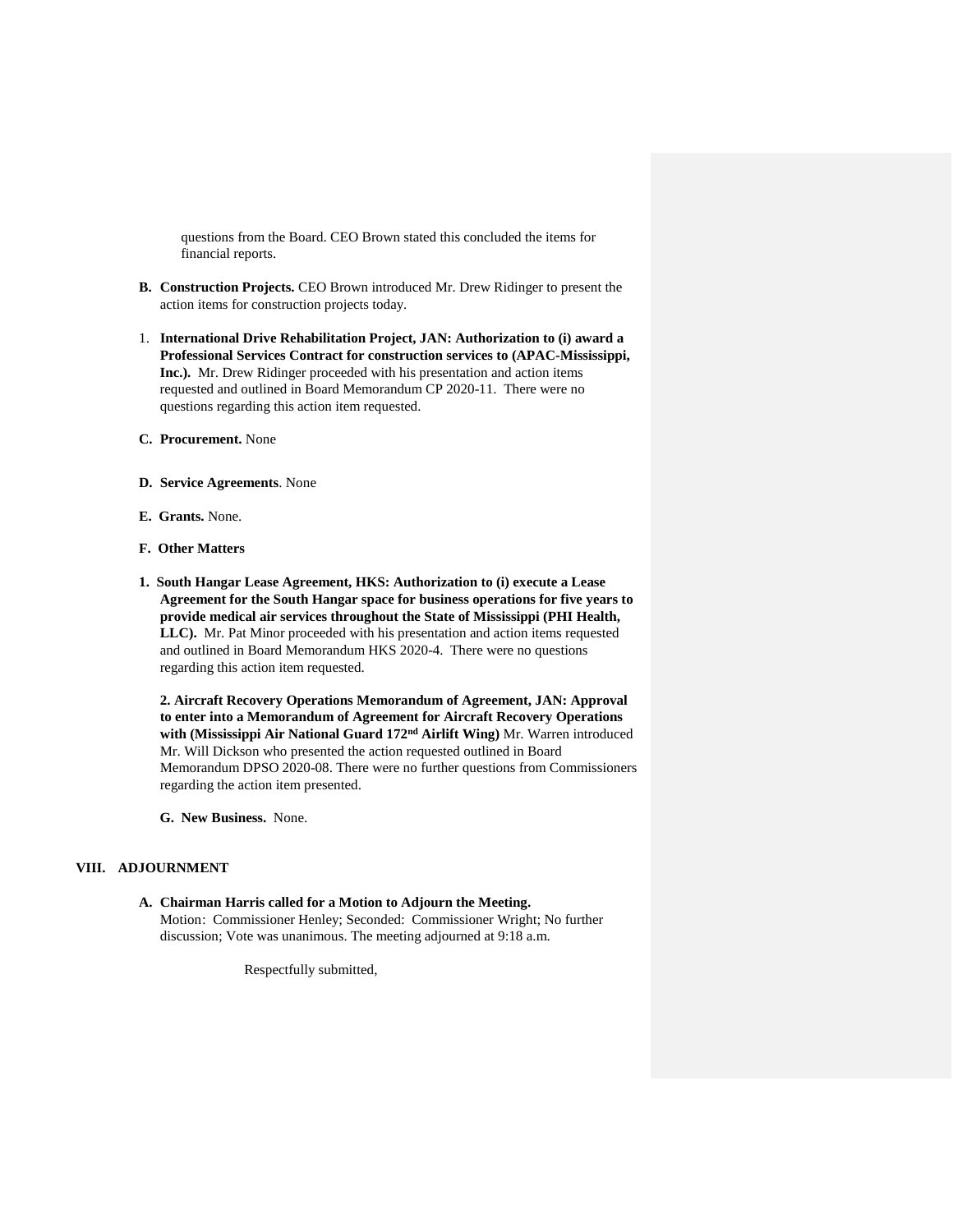questions from the Board. CEO Brown stated this concluded the items for financial reports.

- **B. Construction Projects.** CEO Brown introduced Mr. Drew Ridinger to present the action items for construction projects today.
- 1. **International Drive Rehabilitation Project, JAN: Authorization to (i) award a Professional Services Contract for construction services to (APAC-Mississippi, Inc.).** Mr. Drew Ridinger proceeded with his presentation and action items requested and outlined in Board Memorandum CP 2020-11. There were no questions regarding this action item requested.
- **C. Procurement.** None
- **D. Service Agreements**. None
- **E. Grants.** None.
- **F. Other Matters**
- **1. South Hangar Lease Agreement, HKS: Authorization to (i) execute a Lease Agreement for the South Hangar space for business operations for five years to provide medical air services throughout the State of Mississippi (PHI Health, LLC).** Mr. Pat Minor proceeded with his presentation and action items requested and outlined in Board Memorandum HKS 2020-4. There were no questions regarding this action item requested.

**2. Aircraft Recovery Operations Memorandum of Agreement, JAN: Approval to enter into a Memorandum of Agreement for Aircraft Recovery Operations with (Mississippi Air National Guard 172nd Airlift Wing)** Mr. Warren introduced Mr. Will Dickson who presented the action requested outlined in Board Memorandum DPSO 2020-08. There were no further questions from Commissioners regarding the action item presented.

**G. New Business.** None.

#### **VIII. ADJOURNMENT**

**A. Chairman Harris called for a Motion to Adjourn the Meeting.**  Motion: Commissioner Henley; Seconded: Commissioner Wright; No further discussion; Vote was unanimous. The meeting adjourned at 9:18 a.m.

Respectfully submitted,